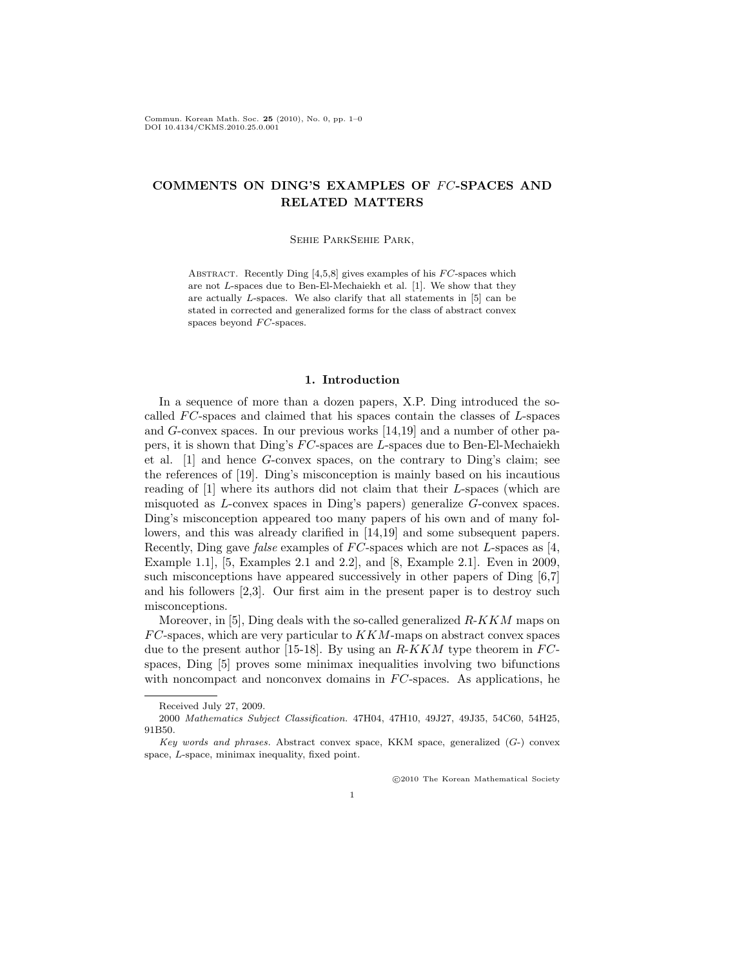Commun. Korean Math. Soc. 25 (2010), No. 0, pp. 1–0 DOI 10.4134/CKMS.2010.25.0.001

# COMMENTS ON DING'S EXAMPLES OF FC-SPACES AND RELATED MATTERS

### Sehie ParkSehie Park,

ABSTRACT. Recently Ding  $[4,5,8]$  gives examples of his  $FC$ -spaces which are not L-spaces due to Ben-El-Mechaiekh et al. [1]. We show that they are actually L-spaces. We also clarify that all statements in [5] can be stated in corrected and generalized forms for the class of abstract convex spaces beyond  $FC$ -spaces.

### 1. Introduction

In a sequence of more than a dozen papers, X.P. Ding introduced the socalled  $FC$ -spaces and claimed that his spaces contain the classes of  $L$ -spaces and G-convex spaces. In our previous works [14,19] and a number of other papers, it is shown that Ding's  $FC$ -spaces are L-spaces due to Ben-El-Mechaiekh et al. [1] and hence G-convex spaces, on the contrary to Ding's claim; see the references of [19]. Ding's misconception is mainly based on his incautious reading of [1] where its authors did not claim that their L-spaces (which are misquoted as L-convex spaces in Ding's papers) generalize G-convex spaces. Ding's misconception appeared too many papers of his own and of many followers, and this was already clarified in [14,19] and some subsequent papers. Recently, Ding gave *false* examples of  $FC$ -spaces which are not L-spaces as [4, Example 1.1], [5, Examples 2.1 and 2.2], and [8, Example 2.1]. Even in 2009, such misconceptions have appeared successively in other papers of Ding [6,7] and his followers [2,3]. Our first aim in the present paper is to destroy such misconceptions.

Moreover, in [5], Ding deals with the so-called generalized  $R-KKM$  maps on  $FC$ -spaces, which are very particular to  $KKM$ -maps on abstract convex spaces due to the present author [15-18]. By using an  $R-KKM$  type theorem in  $FC$ spaces, Ding [5] proves some minimax inequalities involving two bifunctions with noncompact and nonconvex domains in  $FC$ -spaces. As applications, he

°c 2010 The Korean Mathematical Society

Received July 27, 2009.

<sup>2000</sup> Mathematics Subject Classification. 47H04, 47H10, 49J27, 49J35, 54C60, 54H25, 91B50.

Key words and phrases. Abstract convex space, KKM space, generalized  $(G<sub>-</sub>)$  convex space, L-space, minimax inequality, fixed point.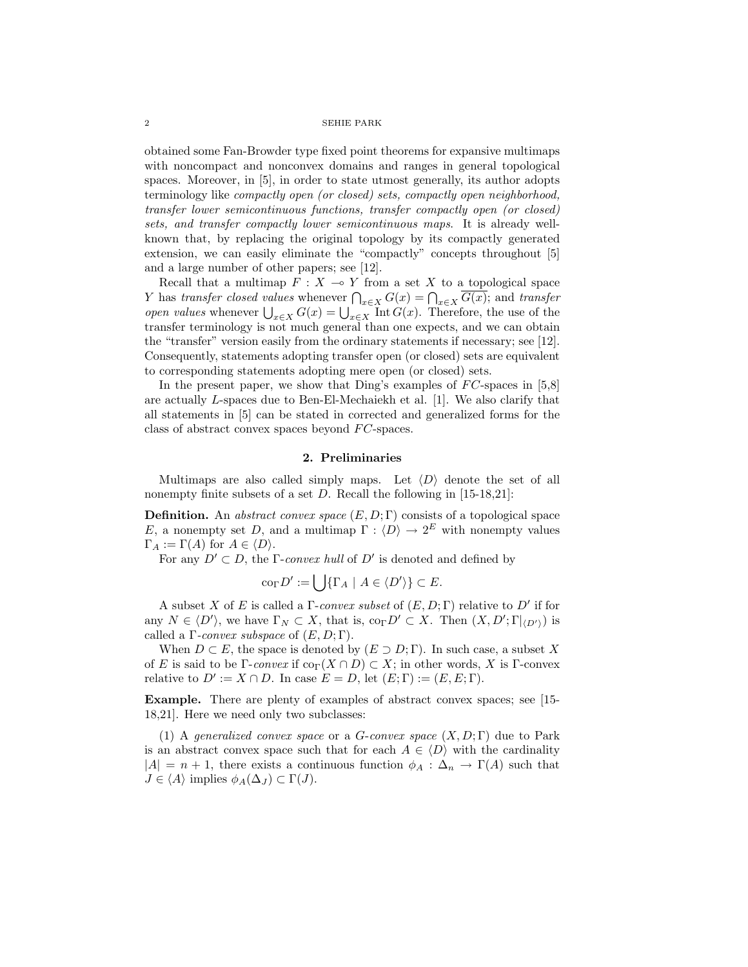obtained some Fan-Browder type fixed point theorems for expansive multimaps with noncompact and nonconvex domains and ranges in general topological spaces. Moreover, in [5], in order to state utmost generally, its author adopts terminology like compactly open (or closed) sets, compactly open neighborhood, transfer lower semicontinuous functions, transfer compactly open (or closed) sets, and transfer compactly lower semicontinuous maps. It is already wellknown that, by replacing the original topology by its compactly generated extension, we can easily eliminate the "compactly" concepts throughout [5] and a large number of other papers; see [12].

Recall that a multimap  $F : X \to Y$  from a set X to a topological space The Equal that a multimap  $F: X \to Y$  from a set X to a topological space<br>Y has transfer closed values whenever  $\bigcap_{x \in X} G(x) = \bigcap_{x \in X} \overline{G(x)}$ ; and transfer *T* has *transfer* closed values whenever  $\prod_{x \in X} G(x) = \prod_{x \in X} G(x)$ ; and *transfer* open values whenever  $\bigcup_{x \in X} G(x) = \bigcup_{x \in X} \text{Int } G(x)$ . Therefore, the use of the transfer terminology is not much general than one expects, and we can obtain the "transfer" version easily from the ordinary statements if necessary; see [12]. Consequently, statements adopting transfer open (or closed) sets are equivalent to corresponding statements adopting mere open (or closed) sets.

In the present paper, we show that Ding's examples of  $FC$ -spaces in [5,8] are actually L-spaces due to Ben-El-Mechaiekh et al. [1]. We also clarify that all statements in [5] can be stated in corrected and generalized forms for the class of abstract convex spaces beyond  $FC$ -spaces.

## 2. Preliminaries

Multimaps are also called simply maps. Let  $\langle D \rangle$  denote the set of all nonempty finite subsets of a set  $D$ . Recall the following in [15-18,21]:

**Definition.** An abstract convex space  $(E, D; \Gamma)$  consists of a topological space E, a nonempty set D, and a multimap  $\Gamma : \langle D \rangle \to 2^E$  with nonempty values  $\Gamma_A := \Gamma(A)$  for  $A \in \langle D \rangle$ .

For any  $D' \subset D$ , the Γ-convex hull of D' is denoted and defined by

$$
\mathrm{co}_{\Gamma} D' := \bigcup \{ \Gamma_A \mid A \in \langle D' \rangle \} \subset E.
$$

A subset X of E is called a  $\Gamma$ -convex subset of  $(E, D; \Gamma)$  relative to  $D'$  if for any  $N \in \langle D' \rangle$ , we have  $\Gamma_N \subset X$ , that is,  $\text{co}_{\Gamma} D' \subset X$ . Then  $(X, D'; \Gamma|_{\langle D' \rangle})$  is called a  $\Gamma$ -convex subspace of  $(E, D; \Gamma)$ .

When  $D \subset E$ , the space is denoted by  $(E \supset D; \Gamma)$ . In such case, a subset X of E is said to be Γ-convex if  $\text{co}_{\Gamma}(X \cap D) \subset X$ ; in other words, X is Γ-convex relative to  $D' := X \cap D$ . In case  $E = D$ , let  $(E; \Gamma) := (E, E; \Gamma)$ .

Example. There are plenty of examples of abstract convex spaces; see [15- 18,21]. Here we need only two subclasses:

(1) A generalized convex space or a G-convex space  $(X, D; \Gamma)$  due to Park is an abstract convex space such that for each  $A \in \langle D \rangle$  with the cardinality  $|A| = n + 1$ , there exists a continuous function  $\phi_A : \Delta_n \to \Gamma(A)$  such that  $J \in \langle A \rangle$  implies  $\phi_A(\Delta_J) \subset \Gamma(J)$ .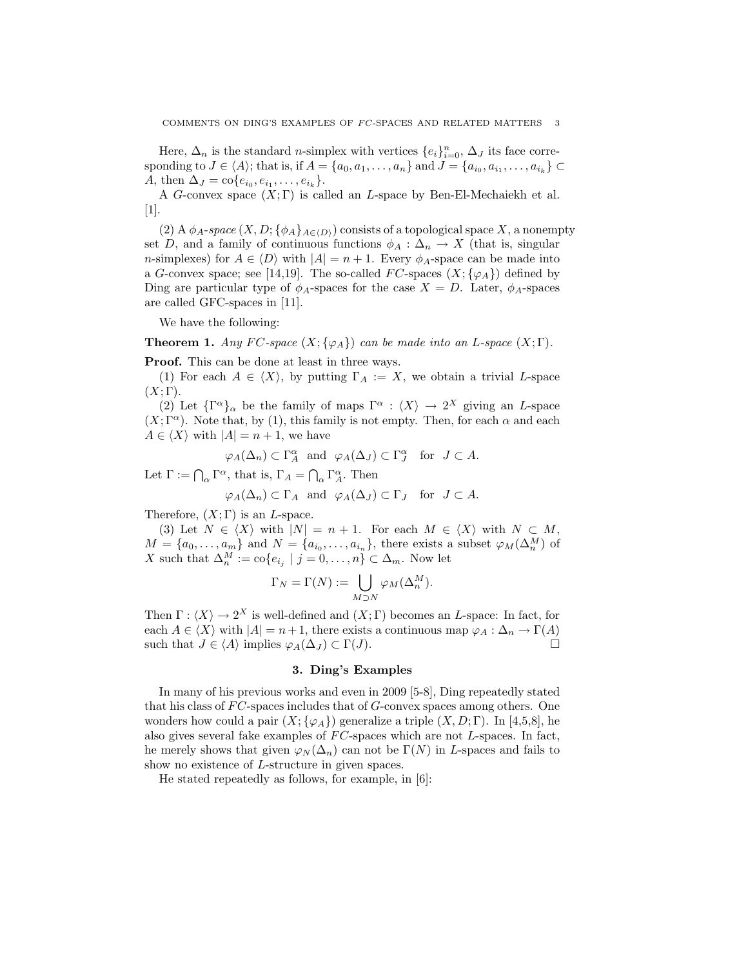Here,  $\Delta_n$  is the standard *n*-simplex with vertices  $\{e_i\}_{i=0}^n$ ,  $\Delta_J$  its face corresponding to  $J \in \langle A \rangle$ ; that is, if  $A = \{a_0, a_1, \ldots, a_n\}$  and  $J = \{a_{i_0}, a_{i_1}, \ldots, a_{i_k}\} \subset$ A, then  $\Delta_J = \text{co}\{e_{i_0}, e_{i_1}, \dots, e_{i_k}\}.$ 

A G-convex space  $(X; \Gamma)$  is called an L-space by Ben-El-Mechaiekh et al. [1].

(2) A  $\phi_A$ -space  $(X, D; {\phi_A}_{A\in(D)})$  consists of a topological space X, a nonempty set D, and a family of continuous functions  $\phi_A : \Delta_n \to X$  (that is, singular *n*-simplexes) for  $A \in \langle D \rangle$  with  $|A| = n + 1$ . Every  $\phi_A$ -space can be made into a G-convex space; see [14,19]. The so-called FC-spaces  $(X; {\varphi_A})$  defined by Ding are particular type of  $\phi_A$ -spaces for the case  $X = D$ . Later,  $\phi_A$ -spaces are called GFC-spaces in [11].

We have the following:

**Theorem 1.** Any FC-space  $(X; {\varphi_A})$  can be made into an L-space  $(X; \Gamma)$ .

Proof. This can be done at least in three ways.

(1) For each  $A \in \langle X \rangle$ , by putting  $\Gamma_A := X$ , we obtain a trivial L-space  $(X; \Gamma).$ 

(2) Let  $\{\Gamma^{\alpha}\}_\alpha$  be the family of maps  $\Gamma^{\alpha}$  :  $\langle X \rangle \to 2^X$  giving an L-space  $(X; \Gamma^{\alpha})$ . Note that, by (1), this family is not empty. Then, for each  $\alpha$  and each  $A \in \langle X \rangle$  with  $|A| = n + 1$ , we have

$$
\varphi_A(\Delta_n) \subset \Gamma_A^{\alpha}
$$
 and  $\varphi_A(\Delta_J) \subset \Gamma_J^{\alpha}$  for  $J \subset A$ .

Let  $\Gamma := \bigcap_{\alpha} \Gamma^{\alpha}$ , that is,  $\Gamma_A = \bigcap_{\alpha} \Gamma^{\alpha}$ . Then

$$
\varphi_A(\Delta_n) \subset \Gamma_A
$$
 and  $\varphi_A(\Delta_J) \subset \Gamma_J$  for  $J \subset A$ .

Therefore,  $(X;\Gamma)$  is an L-space.

(3) Let  $N \in \langle X \rangle$  with  $|N| = n + 1$ . For each  $M \in \langle X \rangle$  with  $N \subset M$ ,  $M = \{a_0, \ldots, a_m\}$  and  $N = \{a_{i_0}, \ldots, a_{i_n}\}\$ , there exists a subset  $\varphi_M(\Delta_n^M)$  of X such that  $\Delta_n^M := \text{co}\{e_{i_j} \mid j = 0, \ldots, n\} \subset \Delta_m$ . Now let

$$
\Gamma_N = \Gamma(N) := \bigcup_{M \supset N} \varphi_M(\Delta_n^M).
$$

Then  $\Gamma : \langle X \rangle \to 2^X$  is well-defined and  $(X; \Gamma)$  becomes an L-space: In fact, for each  $A \in \langle X \rangle$  with  $|A| = n+1$ , there exists a continuous map  $\varphi_A : \Delta_n \to \Gamma(A)$ such that  $J \in \langle A \rangle$  implies  $\varphi_A(\Delta_J) \subset \Gamma(J)$ .

## 3. Ding's Examples

In many of his previous works and even in 2009 [5-8], Ding repeatedly stated that his class of  $FC$ -spaces includes that of  $G$ -convex spaces among others. One wonders how could a pair  $(X; {\varphi}_A)$  generalize a triple  $(X, D; \Gamma)$ . In [4,5,8], he also gives several fake examples of  $FC$ -spaces which are not  $L$ -spaces. In fact, he merely shows that given  $\varphi_N(\Delta_n)$  can not be  $\Gamma(N)$  in L-spaces and fails to show no existence of L-structure in given spaces.

He stated repeatedly as follows, for example, in [6]: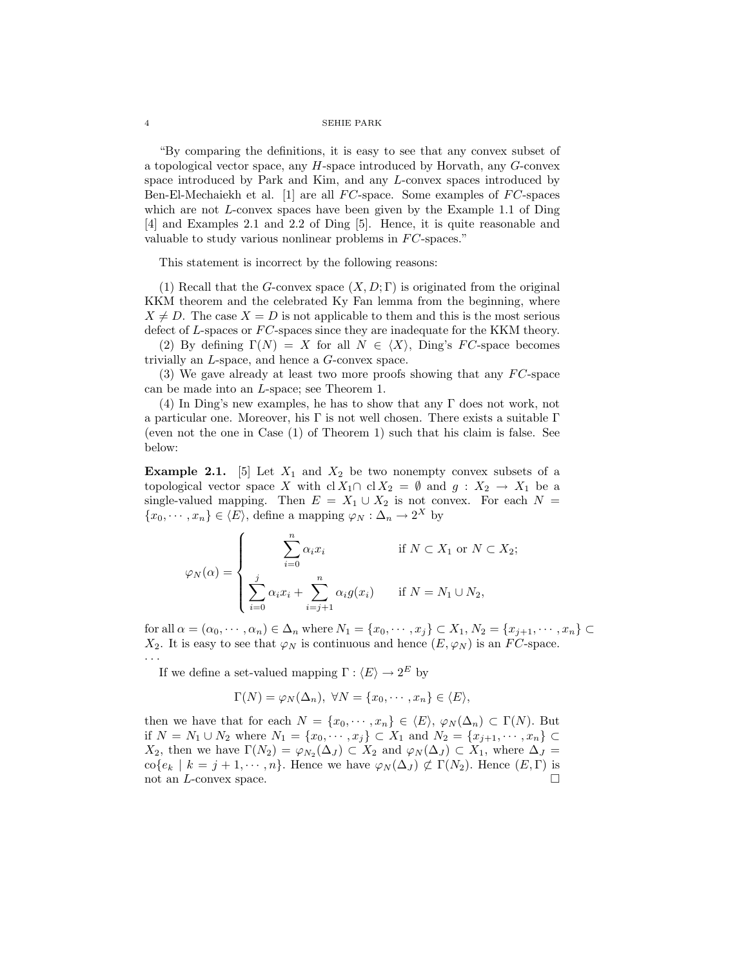"By comparing the definitions, it is easy to see that any convex subset of a topological vector space, any H-space introduced by Horvath, any G-convex space introduced by Park and Kim, and any L-convex spaces introduced by Ben-El-Mechaiekh et al. [1] are all  $FC$ -space. Some examples of  $FC$ -spaces which are not  $L$ -convex spaces have been given by the Example 1.1 of Ding [4] and Examples 2.1 and 2.2 of Ding [5]. Hence, it is quite reasonable and valuable to study various nonlinear problems in  $FC$ -spaces."

This statement is incorrect by the following reasons:

(1) Recall that the G-convex space  $(X, D; \Gamma)$  is originated from the original KKM theorem and the celebrated Ky Fan lemma from the beginning, where  $X \neq D$ . The case  $X = D$  is not applicable to them and this is the most serious defect of L-spaces or  $FC$ -spaces since they are inadequate for the KKM theory.

(2) By defining  $\Gamma(N) = X$  for all  $N \in \langle X \rangle$ , Ding's FC-space becomes trivially an L-space, and hence a G-convex space.

(3) We gave already at least two more proofs showing that any  $FC$ -space can be made into an L-space; see Theorem 1.

(4) In Ding's new examples, he has to show that any Γ does not work, not a particular one. Moreover, his Γ is not well chosen. There exists a suitable  $\Gamma$ (even not the one in Case (1) of Theorem 1) such that his claim is false. See below:

**Example 2.1.** [5] Let  $X_1$  and  $X_2$  be two nonempty convex subsets of a topological vector space X with cl  $X_1 \cap$  cl  $X_2 = \emptyset$  and  $g : X_2 \to X_1$  be a single-valued mapping. Then  $E = X_1 \cup X_2$  is not convex. For each  $N =$  $\{x_0, \dots, x_n\} \in \langle E \rangle$ , define a mapping  $\varphi_N : \Delta_n \to 2^X$  by

$$
\varphi_N(\alpha) = \begin{cases}\n\sum_{i=0}^n \alpha_i x_i & \text{if } N \subset X_1 \text{ or } N \subset X_2; \\
\sum_{i=0}^j \alpha_i x_i + \sum_{i=j+1}^n \alpha_i g(x_i) & \text{if } N = N_1 \cup N_2,\n\end{cases}
$$

for all  $\alpha = (\alpha_0, \dots, \alpha_n) \in \Delta_n$  where  $N_1 = \{x_0, \dots, x_j\} \subset X_1, N_2 = \{x_{j+1}, \dots, x_n\} \subset$  $X_2$ . It is easy to see that  $\varphi_N$  is continuous and hence  $(E, \varphi_N)$  is an FC-space. · · ·

If we define a set-valued mapping  $\Gamma : \langle E \rangle \to 2^E$  by

$$
\Gamma(N) = \varphi_N(\Delta_n), \ \forall N = \{x_0, \cdots, x_n\} \in \langle E \rangle,
$$

then we have that for each  $N = \{x_0, \dots, x_n\} \in \langle E \rangle, \varphi_N(\Delta_n) \subset \Gamma(N)$ . But if  $N = N_1 \cup N_2$  where  $N_1 = \{x_0, \dots, x_j\} \subset X_1$  and  $N_2 = \{x_{j+1}, \dots, x_n\} \subset$  $X_2$ , then we have  $\Gamma(N_2) = \varphi_{N_2}(\Delta_J) \subset X_2$  and  $\varphi_N(\Delta_J) \subset X_1$ , where  $\Delta_J =$ co{e<sub>k</sub> | k = j + 1, · · · , n}. Hence we have  $\varphi_N(\Delta_J) \not\subset \Gamma(N_2)$ . Hence  $(E, \Gamma)$  is not an  $L$ -convex space.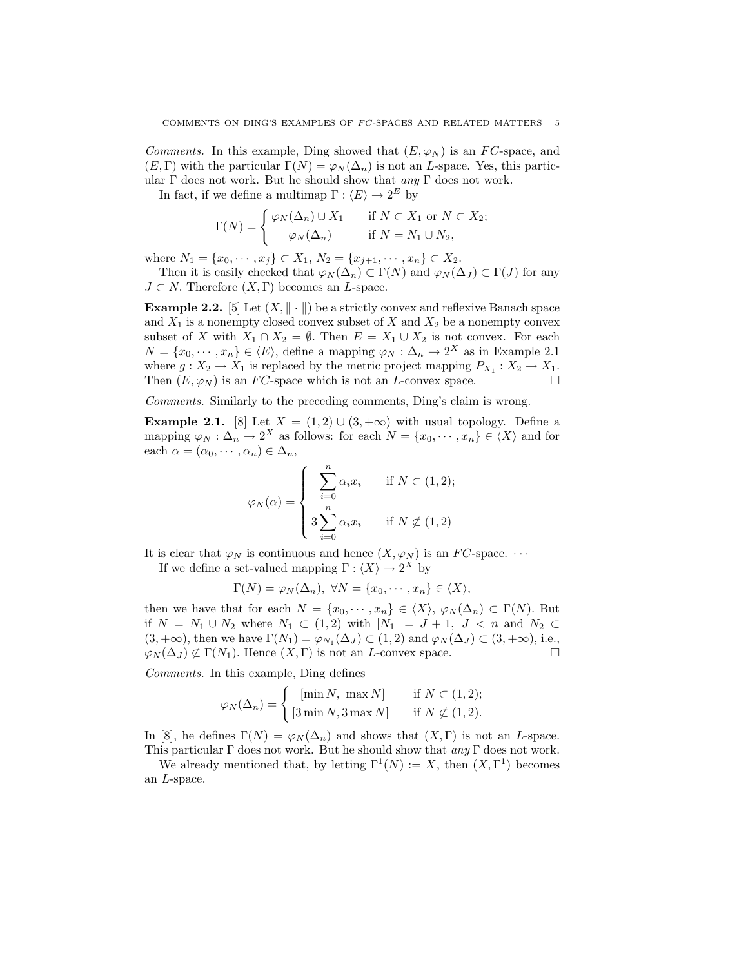Comments. In this example, Ding showed that  $(E, \varphi_N)$  is an FC-space, and  $(E, \Gamma)$  with the particular  $\Gamma(N) = \varphi_N(\Delta_n)$  is not an *L*-space. Yes, this particular  $\Gamma$  does not work. But he should show that  $\alpha n \nu \Gamma$  does not work.

In fact, if we define a multimap  $\Gamma : \langle E \rangle \to 2^E$  by

$$
\Gamma(N) = \begin{cases} \varphi_N(\Delta_n) \cup X_1 & \text{if } N \subset X_1 \text{ or } N \subset X_2; \\ \varphi_N(\Delta_n) & \text{if } N = N_1 \cup N_2, \end{cases}
$$

where  $N_1 = \{x_0, \dots, x_j\} \subset X_1, N_2 = \{x_{j+1}, \dots, x_n\} \subset X_2$ .

Then it is easily checked that  $\varphi_N(\Delta_n) \subset \Gamma(N)$  and  $\varphi_N(\Delta_J) \subset \Gamma(J)$  for any  $J \subset N$ . Therefore  $(X, \Gamma)$  becomes an *L*-space.

**Example 2.2.** [5] Let  $(X, \| \cdot \|)$  be a strictly convex and reflexive Banach space and  $X_1$  is a nonempty closed convex subset of X and  $X_2$  be a nonempty convex subset of X with  $X_1 \cap X_2 = \emptyset$ . Then  $E = X_1 \cup X_2$  is not convex. For each  $N = \{x_0, \dots, x_n\} \in \langle E \rangle$ , define a mapping  $\varphi_N : \Delta_n \to 2^X$  as in Example 2.1 where  $g: X_2 \to X_1$  is replaced by the metric project mapping  $P_{X_1}: X_2 \to X_1$ . Then  $(E, \varphi_N)$  is an FC-space which is not an L-convex space.  $\Box$ 

Comments. Similarly to the preceding comments, Ding's claim is wrong.

**Example 2.1.** [8] Let  $X = (1, 2) \cup (3, +\infty)$  with usual topology. Define a mapping  $\varphi_N : \Delta_n \to 2^X$  as follows: for each  $N = \{x_0, \dots, x_n\} \in \langle X \rangle$  and for each  $\alpha = (\alpha_0, \dots, \alpha_n) \in \Delta_n$ ,

$$
\varphi_N(\alpha) = \begin{cases} \sum_{i=0}^n \alpha_i x_i & \text{if } N \subset (1,2); \\ 3 \sum_{i=0}^n \alpha_i x_i & \text{if } N \nsubseteq (1,2) \end{cases}
$$

It is clear that  $\varphi_N$  is continuous and hence  $(X, \varphi_N)$  is an  $FC$ -space.  $\cdots$ 

If we define a set-valued mapping  $\Gamma : \langle X \rangle \to 2^X$  by

$$
\Gamma(N) = \varphi_N(\Delta_n), \ \forall N = \{x_0, \cdots, x_n\} \in \langle X \rangle,
$$

then we have that for each  $N = \{x_0, \dots, x_n\} \in \langle X \rangle, \varphi_N(\Delta_n) \subset \Gamma(N)$ . But if  $N = N_1 \cup N_2$  where  $N_1 \subset (1,2)$  with  $|N_1| = J + 1$ ,  $J < n$  and  $N_2 \subset$  $(3, +\infty)$ , then we have  $\Gamma(N_1) = \varphi_{N_1}(\Delta_J) \subset (1, 2)$  and  $\varphi_N(\Delta_J) \subset (3, +\infty)$ , i.e.,  $\varphi_N(\Delta_J) \not\subset \Gamma(N_1)$ . Hence  $(X, \Gamma)$  is not an *L*-convex space.  $\Box$ 

Comments. In this example, Ding defines

$$
\varphi_N(\Delta_n) = \begin{cases}\n[\min N, \ \max N] & \text{if } N \subset (1, 2); \\
[3 \min N, 3 \max N] & \text{if } N \nsubseteq (1, 2).\n\end{cases}
$$

In [8], he defines  $\Gamma(N) = \varphi_N(\Delta_n)$  and shows that  $(X, \Gamma)$  is not an *L*-space. This particular  $\Gamma$  does not work. But he should show that any  $\Gamma$  does not work.

We already mentioned that, by letting  $\Gamma^1(N) := X$ , then  $(X, \Gamma^1)$  becomes an L-space.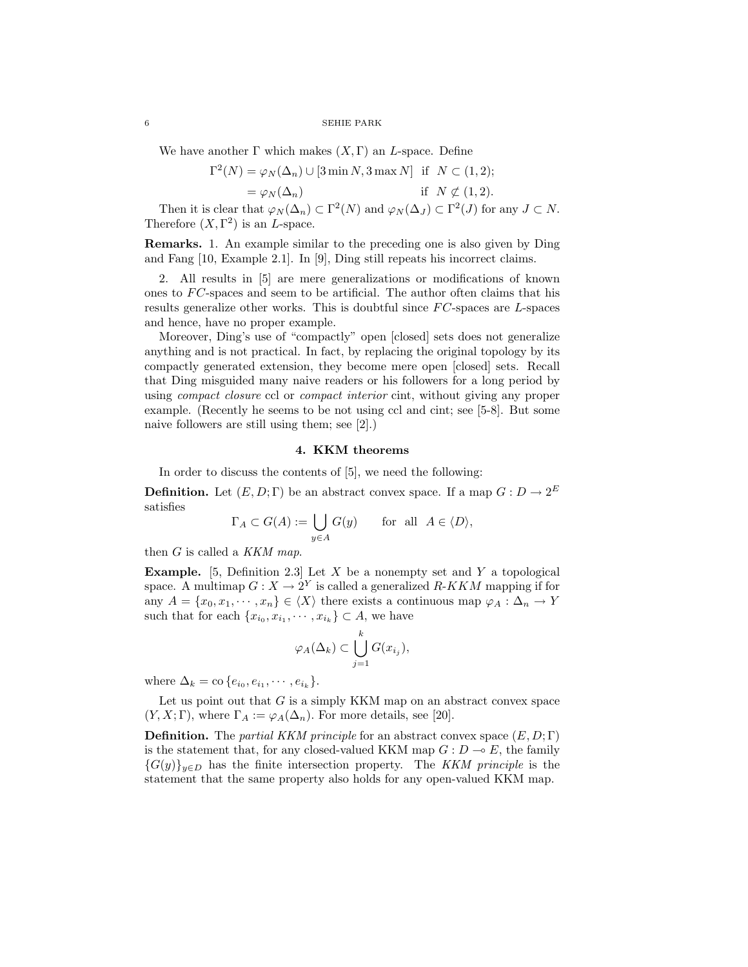We have another  $\Gamma$  which makes  $(X, \Gamma)$  an L-space. Define

$$
\Gamma^{2}(N) = \varphi_{N}(\Delta_{n}) \cup [3 \min N, 3 \max N] \text{ if } N \subset (1, 2);
$$

$$
= \varphi_N(\Delta_n) \qquad \text{if } N \not\subset (1,2).
$$

Then it is clear that  $\varphi_N(\Delta_n) \subset \Gamma^2(N)$  and  $\varphi_N(\Delta_J) \subset \Gamma^2(J)$  for any  $J \subset N$ . Therefore  $(X, \Gamma^2)$  is an *L*-space.

Remarks. 1. An example similar to the preceding one is also given by Ding and Fang [10, Example 2.1]. In [9], Ding still repeats his incorrect claims.

2. All results in [5] are mere generalizations or modifications of known ones to  $FC$ -spaces and seem to be artificial. The author often claims that his results generalize other works. This is doubtful since  $FC$ -spaces are  $L$ -spaces and hence, have no proper example.

Moreover, Ding's use of "compactly" open [closed] sets does not generalize anything and is not practical. In fact, by replacing the original topology by its compactly generated extension, they become mere open [closed] sets. Recall that Ding misguided many naive readers or his followers for a long period by using *compact closure* ccl or *compact interior* cint, without giving any proper example. (Recently he seems to be not using ccl and cint; see [5-8]. But some naive followers are still using them; see [2].)

# 4. KKM theorems

In order to discuss the contents of [5], we need the following:

**Definition.** Let  $(E, D; \Gamma)$  be an abstract convex space. If a map  $G: D \to 2^E$ satisfies

$$
\Gamma_A \subset G(A) := \bigcup_{y \in A} G(y) \quad \text{for all } A \in \langle D \rangle,
$$

then  $G$  is called a KKM map.

**Example.** [5, Definition 2.3] Let X be a nonempty set and Y a topological space. A multimap  $G: X \to 2^Y$  is called a generalized  $R\text{-}KKM$  mapping if for any  $A = \{x_0, x_1, \dots, x_n\} \in \langle X \rangle$  there exists a continuous map  $\varphi_A : \Delta_n \to Y$ such that for each  $\{x_{i_0}, x_{i_1}, \cdots, x_{i_k}\} \subset A$ , we have

$$
\varphi_A(\Delta_k) \subset \bigcup_{j=1}^k G(x_{i_j}),
$$

where  $\Delta_k = \text{co} \{e_{i_0}, e_{i_1}, \cdots, e_{i_k}\}.$ 

Let us point out that  $G$  is a simply KKM map on an abstract convex space  $(Y, X; \Gamma)$ , where  $\Gamma_A := \varphi_A(\Delta_n)$ . For more details, see [20].

**Definition.** The *partial KKM principle* for an abstract convex space  $(E, D; \Gamma)$ is the statement that, for any closed-valued KKM map  $G: D \to E$ , the family  ${G(y)}_{y\in D}$  has the finite intersection property. The KKM principle is the statement that the same property also holds for any open-valued KKM map.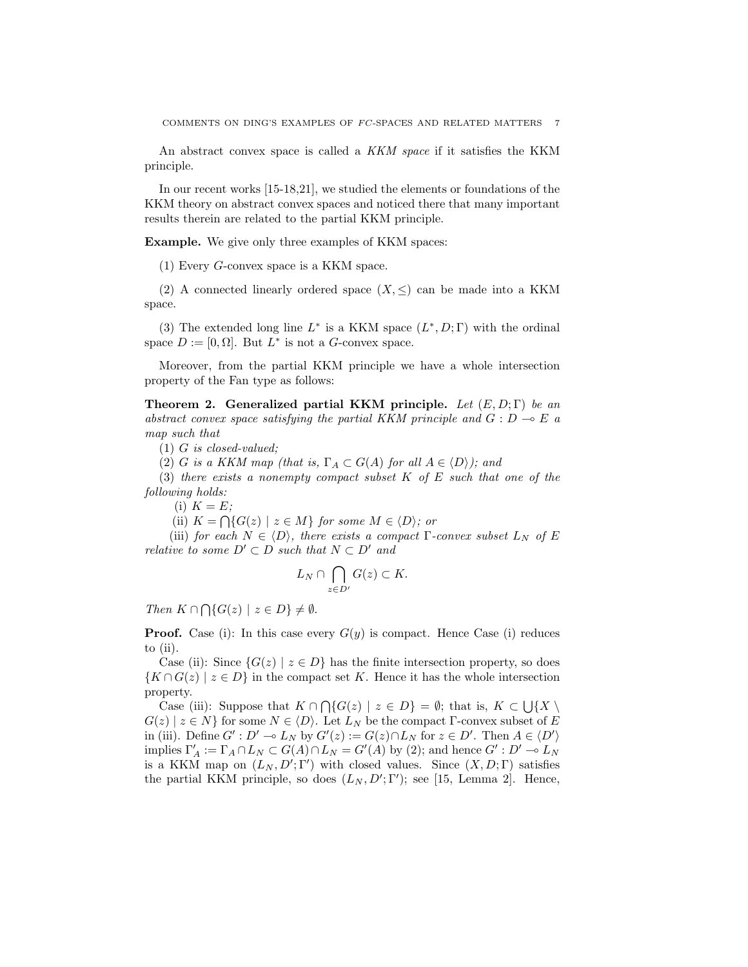An abstract convex space is called a KKM space if it satisfies the KKM principle.

In our recent works [15-18,21], we studied the elements or foundations of the KKM theory on abstract convex spaces and noticed there that many important results therein are related to the partial KKM principle.

Example. We give only three examples of KKM spaces:

(1) Every G-convex space is a KKM space.

(2) A connected linearly ordered space  $(X, \leq)$  can be made into a KKM space.

(3) The extended long line  $L^*$  is a KKM space  $(L^*, D; \Gamma)$  with the ordinal space  $D := [0, \Omega]$ . But  $L^*$  is not a G-convex space.

Moreover, from the partial KKM principle we have a whole intersection property of the Fan type as follows:

Theorem 2. Generalized partial KKM principle. Let  $(E, D; \Gamma)$  be an abstract convex space satisfying the partial KKM principle and  $G : D \multimap E$  a map such that

(1) G is closed-valued;

(2) G is a KKM map (that is,  $\Gamma_A \subset G(A)$  for all  $A \in \langle D \rangle$ ); and

(3) there exists a nonempty compact subset  $K$  of  $E$  such that one of the following holds:

(i)  $K = E$ ;

(ii)  $K = \bigcap \{ G(z) \mid z \in M \}$  for some  $M \in \langle D \rangle$ ; or

(iii) for each  $N \in \langle D \rangle$ , there exists a compact Γ-convex subset  $L_N$  of E relative to some  $D' \subset D$  such that  $N \subset D'$  and

$$
L_N \cap \bigcap_{z \in D'} G(z) \subset K.
$$

Then  $K \cap \bigcap \{G(z) \mid z \in D\} \neq \emptyset$ .

**Proof.** Case (i): In this case every  $G(y)$  is compact. Hence Case (i) reduces to (ii).

Case (ii): Since  $\{G(z) \mid z \in D\}$  has the finite intersection property, so does  ${K \cap G(z) \mid z \in D}$  in the compact set K. Hence it has the whole intersection property.

Operty.<br>Case (iii): Suppose that  $K \cap \bigcap \{G(z) \mid z \in D\} = \emptyset$ ; that is,  $K \subset \bigcup \{X \setminus \emptyset\}$  $G(z) \mid z \in N$  for some  $N \in \langle D \rangle$ . Let  $L_N$  be the compact  $\Gamma$ -convex subset of E in (iii). Define  $G' : D' \to L_N$  by  $G'(z) := G(z) \cap L_N$  for  $z \in D'$ . Then  $A \in \langle D' \rangle$ implies  $\Gamma'_A := \Gamma_A \cap L_N \subset G(A) \cap L_N = G'(A)$  by (2); and hence  $G' : D' \to L_N$ is a KKM map on  $(L_N, D'; \Gamma')$  with closed values. Since  $(X, D; \Gamma)$  satisfies the partial KKM principle, so does  $(L_N, D'; \Gamma')$ ; see [15, Lemma 2]. Hence,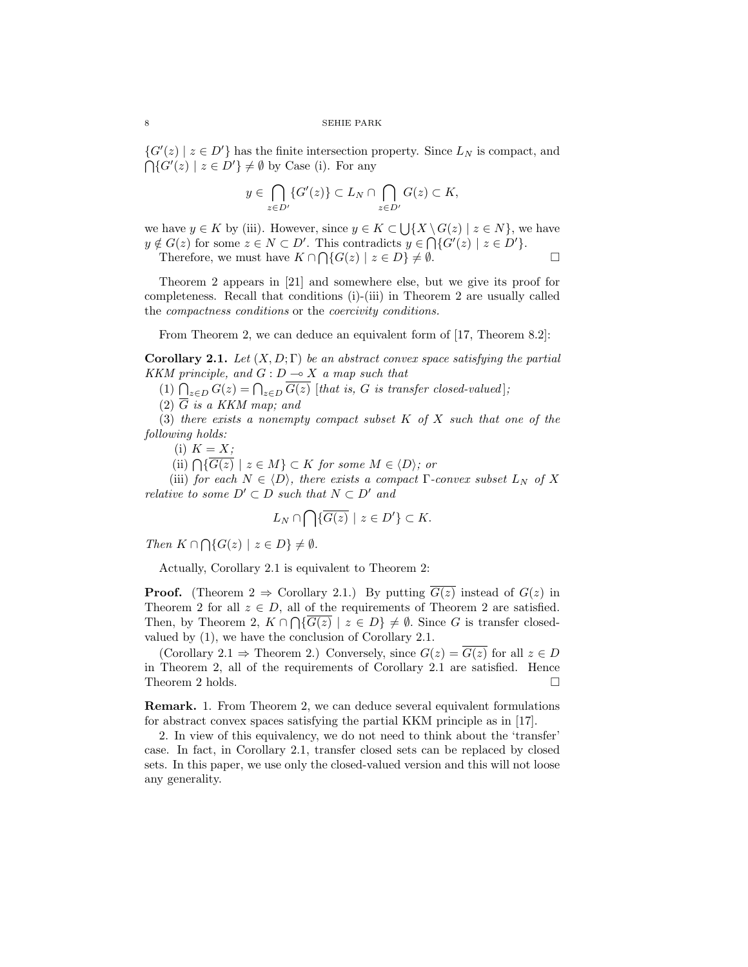$\{G'(z) \mid z \in D'\}$  has the finite intersection property. Since  $L_N$  is compact, and  $\{G'(z) \mid z \in D'\}\neq \emptyset$  by Case (i). For any

$$
y \in \bigcap_{z \in D'} \{G'(z)\} \subset L_N \cap \bigcap_{z \in D'} G(z) \subset K,
$$

we have  $y \in K$  by (iii). However, since  $y \in K \subset \bigcup \{X \setminus G(z) \mid z \in N\}$ , we have  $y \notin G(z)$  for some  $z \in N \subset D'$ . This contradicts  $y \in \bigcap \{G'(z) \mid z \in D'\}.$ 

Therefore, we must have  $K \cap \bigcap \{G(z) \mid z \in D\} \neq \emptyset$ .

Theorem 2 appears in [21] and somewhere else, but we give its proof for completeness. Recall that conditions (i)-(iii) in Theorem 2 are usually called the compactness conditions or the coercivity conditions.

From Theorem 2, we can deduce an equivalent form of [17, Theorem 8.2]:

**Corollary 2.1.** Let  $(X, D; \Gamma)$  be an abstract convex space satisfying the partial KKM principle, and  $G: D \multimap X$  a map such that

 $\left\{ \begin{array}{l} \n\text{and} \ \text{or} \ \text{or} \ \text{or} \ \text{or} \ \text{or} \ \text{or} \ \text{or} \ \text{or} \ \text{or} \ \text{or} \ \text{or} \ \text{or} \ \text{or} \ \text{or} \ \text{or} \ \text{or} \ \text{or} \ \text{or} \ \text{or} \ \text{or} \ \text{or} \ \text{or} \ \text{or} \ \text{or} \ \text{or} \ \text{or} \ \text{or} \ \text{or} \ \text{or} \ \text{or} \ \text{or} \ \text{or} \ \text{or} \ \text{$ 

(2)  $\overline{G}$  is a KKM map; and

(3) there exists a nonempty compact subset  $K$  of  $X$  such that one of the following holds:

(i)  $K = X;$ 

(i)  $\Lambda = \Lambda$ ,<br>(ii)  $\bigcap {\overline{G(z)}} \mid z \in M$   $\subset K$  for some  $M \in \langle D \rangle$ ; or

(iii) for each  $N \in \langle D \rangle$ , there exists a compact Γ-convex subset  $L_N$  of X relative to some  $D' \subset D$  such that  $N \subset D'$  and

$$
L_N \cap \bigcap \{ \overline{G(z)} \mid z \in D' \} \subset K.
$$

Then  $K \cap \bigcap \{G(z) \mid z \in D\} \neq \emptyset$ .

Actually, Corollary 2.1 is equivalent to Theorem 2:

**Proof.** (Theorem 2  $\Rightarrow$  Corollary 2.1.) By putting  $\overline{G(z)}$  instead of  $G(z)$  in Theorem 2 for all  $z \in D$ , all of the requirements of Theorem 2 are satisfied. Then, by Theorem 2,  $K \cap \bigcap \{G(z) \mid z \in D\} \neq \emptyset$ . Since G is transfer closedvalued by (1), we have the conclusion of Corollary 2.1.

(Corollary 2.1  $\Rightarrow$  Theorem 2.) Conversely, since  $G(z) = \overline{G(z)}$  for all  $z \in D$ in Theorem 2, all of the requirements of Corollary 2.1 are satisfied. Hence Theorem 2 holds.  $\Box$ 

Remark. 1. From Theorem 2, we can deduce several equivalent formulations for abstract convex spaces satisfying the partial KKM principle as in [17].

2. In view of this equivalency, we do not need to think about the 'transfer' case. In fact, in Corollary 2.1, transfer closed sets can be replaced by closed sets. In this paper, we use only the closed-valued version and this will not loose any generality.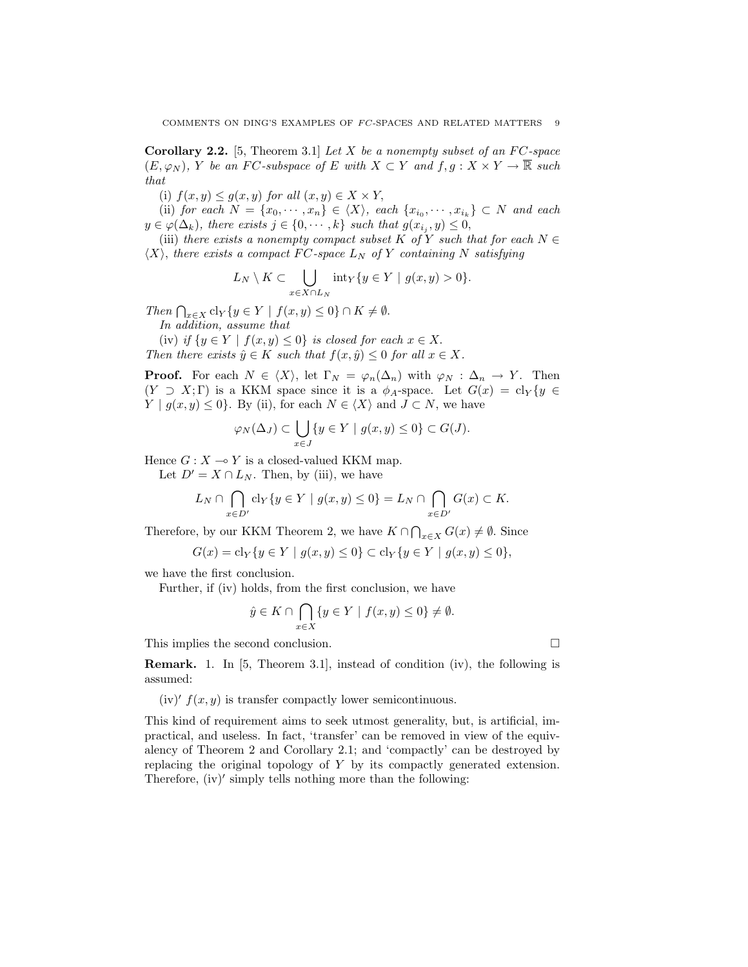**Corollary 2.2.** [5, Theorem 3.1] Let X be a nonempty subset of an  $FC$ -space  $(E, \varphi_N)$ , Y be an FC-subspace of E with  $X \subset Y$  and  $f, g: X \times Y \to \overline{\mathbb{R}}$  such that

(i)  $f(x, y) \le g(x, y)$  for all  $(x, y) \in X \times Y$ ,

(ii) for each  $N = \{x_0, \dots, x_n\} \in \langle X \rangle$ , each  $\{x_{i_0}, \dots, x_{i_k}\} \subset N$  and each  $y \in \varphi(\Delta_k)$ , there exists  $j \in \{0, \cdots, k\}$  such that  $g(x_{i_j}, y) \leq 0$ ,

(iii) there exists a nonempty compact subset K of Y such that for each  $N \in$  $\langle X \rangle$ , there exists a compact FC-space  $L_N$  of Y containing N satisfying

$$
L_N \setminus K \subset \bigcup_{x \in X \cap L_N} \mathrm{int}_Y \{y \in Y \mid g(x, y) > 0\}.
$$

Then  $\bigcap_{x\in X}$  cl<sub>Y</sub> { $y \in Y \mid f(x, y) \le 0$ }  $\cap K \ne \emptyset$ .

In addition, assume that

(iv) if  $\{y \in Y \mid f(x, y) \leq 0\}$  is closed for each  $x \in X$ . Then there exists  $\hat{y} \in K$  such that  $f(x, \hat{y}) \leq 0$  for all  $x \in X$ .

**Proof.** For each  $N \in \langle X \rangle$ , let  $\Gamma_N = \varphi_n(\Delta_n)$  with  $\varphi_N : \Delta_n \to Y$ . Then  $(Y \supset X;\Gamma)$  is a KKM space since it is a  $\phi_A$ -space. Let  $G(x) = \text{cl}_Y\{y \in \Gamma\}$  $Y | g(x, y) \leq 0$ . By (ii), for each  $N \in \langle X \rangle$  and  $J \subset N$ , we have

$$
\varphi_N(\Delta_J) \subset \bigcup_{x \in J} \{y \in Y \mid g(x, y) \le 0\} \subset G(J).
$$

Hence  $G: X \longrightarrow Y$  is a closed-valued KKM map.

Let  $D' = X \cap L_N$ . Then, by (iii), we have

$$
L_N \cap \bigcap_{x \in D'} \text{cl}_Y\{y \in Y \mid g(x,y) \le 0\} = L_N \cap \bigcap_{x \in D'} G(x) \subset K.
$$

Therefore, by our KKM Theorem 2, we have  $K \cap \bigcap_{x \in X} G(x) \neq \emptyset$ . Since

$$
G(x) = cl_Y \{ y \in Y \mid g(x, y) \le 0 \} \subset cl_Y \{ y \in Y \mid g(x, y) \le 0 \},
$$

we have the first conclusion.

Further, if (iv) holds, from the first conclusion, we have

$$
\hat{y} \in K \cap \bigcap_{x \in X} \{ y \in Y \mid f(x, y) \le 0 \} \ne \emptyset.
$$

This implies the second conclusion.  $\Box$ 

Remark. 1. In [5, Theorem 3.1], instead of condition (iv), the following is assumed:

(iv)'  $f(x, y)$  is transfer compactly lower semicontinuous.

This kind of requirement aims to seek utmost generality, but, is artificial, impractical, and useless. In fact, 'transfer' can be removed in view of the equivalency of Theorem 2 and Corollary 2.1; and 'compactly' can be destroyed by replacing the original topology of  $Y$  by its compactly generated extension. Therefore,  $(iv)'$  simply tells nothing more than the following: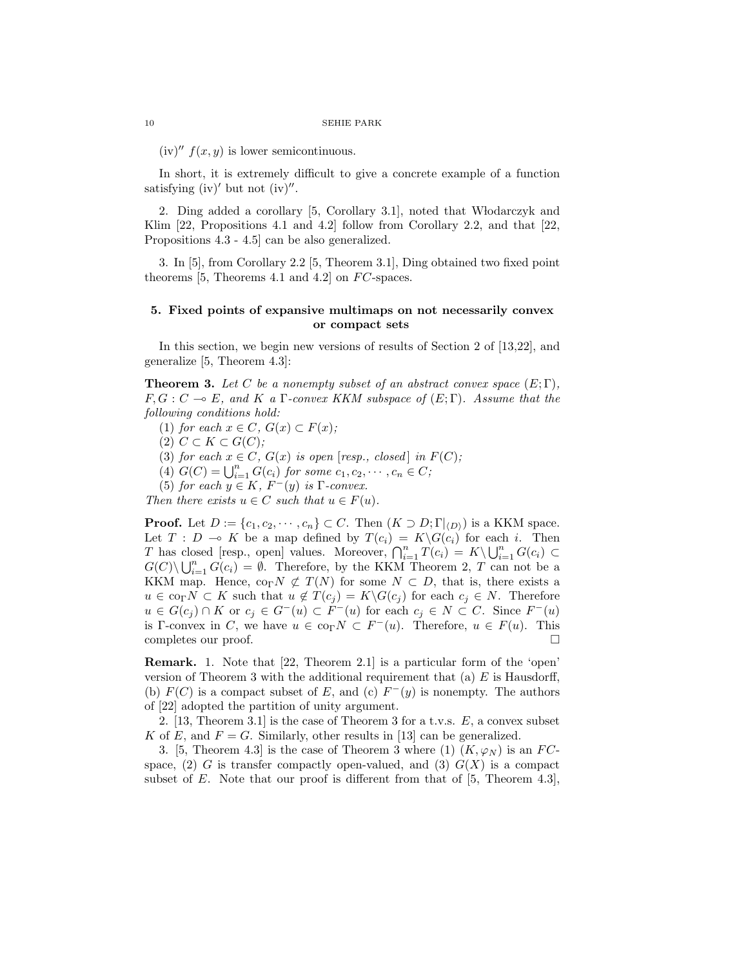$(iv)''$   $f(x, y)$  is lower semicontinuous.

In short, it is extremely difficult to give a concrete example of a function satisfying (iv)' but not (iv)''.

2. Ding added a corollary [5, Corollary 3.1], noted that Włodarczyk and Klim [22, Propositions 4.1 and 4.2] follow from Corollary 2.2, and that [22, Propositions 4.3 - 4.5] can be also generalized.

3. In [5], from Corollary 2.2 [5, Theorem 3.1], Ding obtained two fixed point theorems  $[5,$  Theorems 4.1 and 4.2 on  $FC$ -spaces.

# 5. Fixed points of expansive multimaps on not necessarily convex or compact sets

In this section, we begin new versions of results of Section 2 of [13,22], and generalize [5, Theorem 4.3]:

**Theorem 3.** Let C be a nonempty subset of an abstract convex space  $(E; \Gamma)$ ,  $F, G: C \multimap E$ , and K a  $\Gamma$ -convex KKM subspace of  $(E: \Gamma)$ . Assume that the following conditions hold:

- (1) for each  $x \in C$ ,  $G(x) \subset F(x)$ ;
- $(2)$   $C \subset K \subset G(C);$
- (3) for each  $x \in C$ ,  $G(x)$  is open [resp., closed] in  $F(C)$ ;
- (3) for each  $x \in C$ ,  $G(x)$  is open (resp., closed) in  $G(G) = \bigcup_{i=1}^{n} G(c_i)$  for some  $c_1, c_2, \dots, c_n \in C$ ;
- (5) for each  $y \in K$ ,  $F^-(y)$  is  $\Gamma$ -convex.

Then there exists  $u \in C$  such that  $u \in F(u)$ .

**Proof.** Let  $D := \{c_1, c_2, \dots, c_n\} \subset C$ . Then  $(K \supset D; \Gamma|_{\langle D \rangle})$  is a KKM space. Let  $T : D \multimap K$  be a map defined by  $T(c_i) = K\backslash G(c_i)$  for each i. Then Let  $T: D \to \mathbb{R}$  be a map defined by  $T(c_i) = K\setminus G(c_i)$  for each  $i$ . Then<br>  $T$  has closed [resp., open] values. Moreover,  $\bigcap_{i=1}^n T(c_i) = K\setminus \bigcup_{i=1}^n G(c_i) \subset$ <br>  $G(C) \cup \bigcup_{i=1}^n G(c_i)$  of Theorems in the KKM Theorem 2. Then  $G(C) \backslash \bigcup_{i=1}^{n} G(c_i) = \emptyset$ . Therefore, by the KKM Theorem 2, T can not be a KKM map. Hence,  $\text{co}_{\Gamma} N \not\subset T(N)$  for some  $N \subset D$ , that is, there exists a  $u \in \text{co}_{\Gamma}N \subset K$  such that  $u \notin T(c_i) = K\backslash G(c_i)$  for each  $c_i \in N$ . Therefore  $u \in G(c_j) \cap K$  or  $c_j \in G^-(u) \subset F^-(u)$  for each  $c_j \in N \subset C$ . Since  $F^-(u)$ is Γ-convex in C, we have  $u \in \text{co}_{\Gamma} N \subset F^{-}(u)$ . Therefore,  $u \in F(u)$ . This completes our proof.  $\Box$ 

Remark. 1. Note that [22, Theorem 2.1] is a particular form of the 'open' version of Theorem 3 with the additional requirement that (a)  $E$  is Hausdorff, (b)  $F(C)$  is a compact subset of E, and (c)  $F^-(y)$  is nonempty. The authors of [22] adopted the partition of unity argument.

2. [13, Theorem 3.1] is the case of Theorem 3 for a t.v.s.  $E$ , a convex subset K of E, and  $F = G$ . Similarly, other results in [13] can be generalized.

3. [5, Theorem 4.3] is the case of Theorem 3 where (1)  $(K, \varphi_N)$  is an FCspace, (2) G is transfer compactly open-valued, and (3)  $G(X)$  is a compact subset of  $E$ . Note that our proof is different from that of  $[5,$  Theorem 4.3],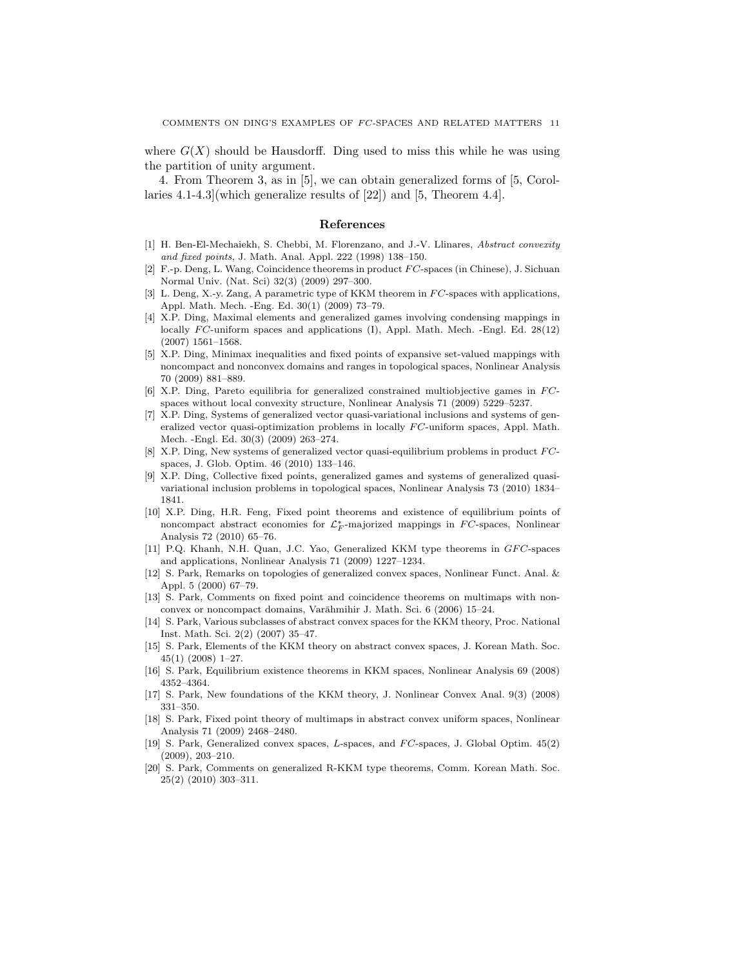where  $G(X)$  should be Hausdorff. Ding used to miss this while he was using the partition of unity argument.

4. From Theorem 3, as in [5], we can obtain generalized forms of [5, Corollaries 4.1-4.3](which generalize results of [22]) and [5, Theorem 4.4].

#### References

- [1] H. Ben-El-Mechaiekh, S. Chebbi, M. Florenzano, and J.-V. Llinares, Abstract convexity and fixed points, J. Math. Anal. Appl. 222 (1998) 138–150.
- [2] F.-p. Deng, L. Wang, Coincidence theorems in product FC-spaces (in Chinese), J. Sichuan Normal Univ. (Nat. Sci) 32(3) (2009) 297–300.
- [3] L. Deng, X.-y. Zang, A parametric type of KKM theorem in  $FC$ -spaces with applications, Appl. Math. Mech. -Eng. Ed. 30(1) (2009) 73–79.
- [4] X.P. Ding, Maximal elements and generalized games involving condensing mappings in locally  $FC$ -uniform spaces and applications (I), Appl. Math. Mech. -Engl. Ed. 28(12) (2007) 1561–1568.
- [5] X.P. Ding, Minimax inequalities and fixed points of expansive set-valued mappings with noncompact and nonconvex domains and ranges in topological spaces, Nonlinear Analysis 70 (2009) 881–889.
- [6] X.P. Ding. Pareto equilibria for generalized constrained multiobjective games in  $FC$ spaces without local convexity structure, Nonlinear Analysis 71 (2009) 5229–5237.
- [7] X.P. Ding, Systems of generalized vector quasi-variational inclusions and systems of generalized vector quasi-optimization problems in locally FC-uniform spaces, Appl. Math. Mech. -Engl. Ed. 30(3) (2009) 263–274.
- [8] X.P. Ding, New systems of generalized vector quasi-equilibrium problems in product FCspaces, J. Glob. Optim. 46 (2010) 133–146.
- [9] X.P. Ding, Collective fixed points, generalized games and systems of generalized quasivariational inclusion problems in topological spaces, Nonlinear Analysis 73 (2010) 1834– 1841.
- [10] X.P. Ding, H.R. Feng, Fixed point theorems and existence of equilibrium points of noncompact abstract economies for  $\mathcal{L}_F^*$ -majorized mappings in FC-spaces, Nonlinear Analysis 72 (2010) 65–76.
- [11] P.Q. Khanh, N.H. Quan, J.C. Yao, Generalized KKM type theorems in GFC-spaces and applications, Nonlinear Analysis 71 (2009) 1227–1234.
- [12] S. Park, Remarks on topologies of generalized convex spaces, Nonlinear Funct. Anal. & Appl. 5 (2000) 67–79.
- [13] S. Park, Comments on fixed point and coincidence theorems on multimaps with nonconvex or noncompact domains, Varāhmihir J. Math. Sci. 6 (2006) 15–24.
- [14] S. Park, Various subclasses of abstract convex spaces for the KKM theory, Proc. National Inst. Math. Sci. 2(2) (2007) 35–47.
- [15] S. Park, Elements of the KKM theory on abstract convex spaces, J. Korean Math. Soc. 45(1) (2008) 1–27.
- [16] S. Park, Equilibrium existence theorems in KKM spaces, Nonlinear Analysis 69 (2008) 4352–4364.
- [17] S. Park, New foundations of the KKM theory, J. Nonlinear Convex Anal. 9(3) (2008) 331–350.
- [18] S. Park, Fixed point theory of multimaps in abstract convex uniform spaces, Nonlinear Analysis 71 (2009) 2468–2480.
- [19] S. Park, Generalized convex spaces, L-spaces, and  $FC$ -spaces, J. Global Optim.  $45(2)$ (2009), 203–210.
- [20] S. Park, Comments on generalized R-KKM type theorems, Comm. Korean Math. Soc. 25(2) (2010) 303–311.